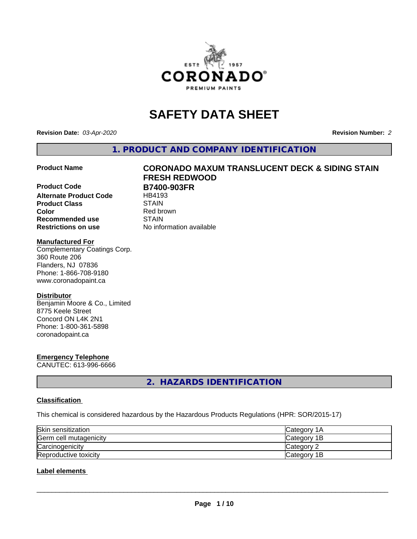

# **SAFETY DATA SHEET**

**Revision Date:** *03-Apr-2020* **Revision Number:** *2*

**1. PRODUCT AND COMPANY IDENTIFICATION**

**Product Code B7400-903FR**<br>Alternate Product Code HB4193 **Alternate Product Code Product Class** STAIN<br> **Color** Red bro **Recommended use STAIN Restrictions on use** No information available

# **Product Name CORONADO MAXUM TRANSLUCENT DECK & SIDING STAIN FRESH REDWOOD**

**Red brown** 

#### **Manufactured For**

Complementary Coatings Corp. 360 Route 206 Flanders, NJ 07836 Phone: 1-866-708-9180 www.coronadopaint.ca

#### **Distributor**

Benjamin Moore & Co., Limited 8775 Keele Street Concord ON L4K 2N1 Phone: 1-800-361-5898 coronadopaint.ca

# **Emergency Telephone**

CANUTEC: 613-996-6666

**2. HAZARDS IDENTIFICATION**

#### **Classification**

This chemical is considered hazardous by the Hazardous Products Regulations (HPR: SOR/2015-17)

| Skin sensitization     | <b>ICategory 1A</b> |
|------------------------|---------------------|
| Germ cell mutagenicity | Category 1B         |
| Carcinogenicity        | Category 2          |
| Reproductive toxicity  | Category 1B         |

### **Label elements**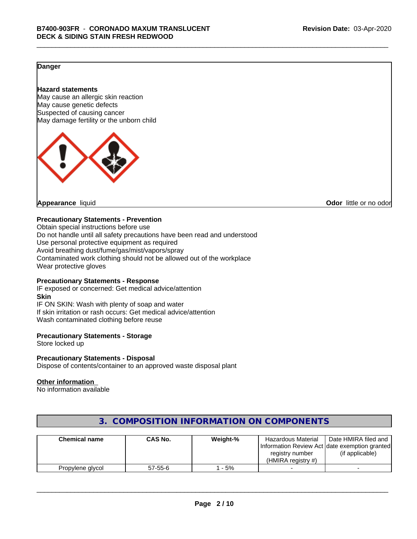### **Danger**

#### **Hazard statements**

May cause an allergic skin reaction May cause genetic defects Suspected of causing cancer May damage fertility or the unborn child



**Appearance** liquid **CODO** *Appearance liquid* **Odor** *CODO CODO* **<b>***CODO CODO CODO CODO CODO* 

#### **Precautionary Statements - Prevention**

Obtain special instructions before use Do not handle until all safety precautions have been read and understood Use personal protective equipment as required Avoid breathing dust/fume/gas/mist/vapors/spray Contaminated work clothing should not be allowed out of the workplace Wear protective gloves

#### **Precautionary Statements - Response**

IF exposed or concerned: Get medical advice/attention **Skin** IF ON SKIN: Wash with plenty of soap and water If skin irritation or rash occurs: Get medical advice/attention Wash contaminated clothing before reuse

#### **Precautionary Statements - Storage**

Store locked up

#### **Precautionary Statements - Disposal**

Dispose of contents/container to an approved waste disposal plant

#### **Other information**

No information available

| <b>Chemical name</b> | CAS No.       | Weight-% | <b>Hazardous Material</b><br>registry number<br>(HMIRA reaistry #) | Date HMIRA filed and<br>Information Review Act Idate exemption granted<br>(if applicable) |
|----------------------|---------------|----------|--------------------------------------------------------------------|-------------------------------------------------------------------------------------------|
| Propylene glycol     | $57 - 55 - 6$ | - 5%     |                                                                    |                                                                                           |

# **3. COMPOSITION INFORMATION ON COMPONENTS**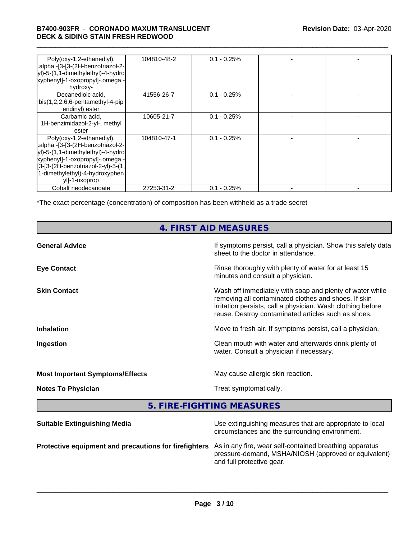#### \_\_\_\_\_\_\_\_\_\_\_\_\_\_\_\_\_\_\_\_\_\_\_\_\_\_\_\_\_\_\_\_\_\_\_\_\_\_\_\_\_\_\_\_\_\_\_\_\_\_\_\_\_\_\_\_\_\_\_\_\_\_\_\_\_\_\_\_\_\_\_\_\_\_\_\_\_\_\_\_\_\_\_\_\_\_\_\_\_\_\_\_\_ **B7400-903FR** - **CORONADO MAXUM TRANSLUCENT DECK & SIDING STAIN FRESH REDWOOD**

| Poly(oxy-1,2-ethanediyl),<br>.alpha.-[3-[3-(2H-benzotriazol-2-<br>yl)-5-(1,1-dimethylethyl)-4-hydro<br>xyphenyl]-1-oxopropyl]-.omega.-<br>hydroxy-                                                                              | 104810-48-2 | $0.1 - 0.25\%$ |  |
|---------------------------------------------------------------------------------------------------------------------------------------------------------------------------------------------------------------------------------|-------------|----------------|--|
| Decanedioic acid,<br>$bis(1,2,2,6,6-pentamentlyl-4-pip)$<br>eridinyl) ester                                                                                                                                                     | 41556-26-7  | $0.1 - 0.25\%$ |  |
| Carbamic acid,<br>1H-benzimidazol-2-yl-, methyl<br>ester                                                                                                                                                                        | 10605-21-7  | $0.1 - 0.25%$  |  |
| Poly(oxy-1,2-ethanediyl),<br>.alpha.-[3-[3-(2H-benzotriazol-2-<br>yl)-5-(1,1-dimethylethyl)-4-hydro<br>xyphenyl]-1-oxopropyl]-.omega.-<br>[3-[3-(2H-benzotriazol-2-yl)-5-(1,<br>1-dimethylethyl)-4-hydroxyphen<br>yll-1-oxoprop | 104810-47-1 | $0.1 - 0.25%$  |  |
| Cobalt neodecanoate                                                                                                                                                                                                             | 27253-31-2  | $0.1 - 0.25%$  |  |

\*The exact percentage (concentration) of composition has been withheld as a trade secret

# **4. FIRST AID MEASURES**

| <b>General Advice</b>                  | If symptoms persist, call a physician. Show this safety data<br>sheet to the doctor in attendance.                                                                                                                                     |
|----------------------------------------|----------------------------------------------------------------------------------------------------------------------------------------------------------------------------------------------------------------------------------------|
| <b>Eye Contact</b>                     | Rinse thoroughly with plenty of water for at least 15<br>minutes and consult a physician.                                                                                                                                              |
| <b>Skin Contact</b>                    | Wash off immediately with soap and plenty of water while<br>removing all contaminated clothes and shoes. If skin<br>irritation persists, call a physician. Wash clothing before<br>reuse. Destroy contaminated articles such as shoes. |
| <b>Inhalation</b>                      | Move to fresh air. If symptoms persist, call a physician.                                                                                                                                                                              |
| Ingestion                              | Clean mouth with water and afterwards drink plenty of<br>water. Consult a physician if necessary.                                                                                                                                      |
| <b>Most Important Symptoms/Effects</b> | May cause allergic skin reaction.                                                                                                                                                                                                      |
| <b>Notes To Physician</b>              | Treat symptomatically.                                                                                                                                                                                                                 |
|                                        |                                                                                                                                                                                                                                        |

**5. FIRE-FIGHTING MEASURES**

| <b>Suitable Extinguishing Media</b>                                                                           | Use extinguishing measures that are appropriate to local<br>circumstances and the surrounding environment. |
|---------------------------------------------------------------------------------------------------------------|------------------------------------------------------------------------------------------------------------|
| Protective equipment and precautions for firefighters As in any fire, wear self-contained breathing apparatus | pressure-demand, MSHA/NIOSH (approved or equivalent)<br>and full protective gear.                          |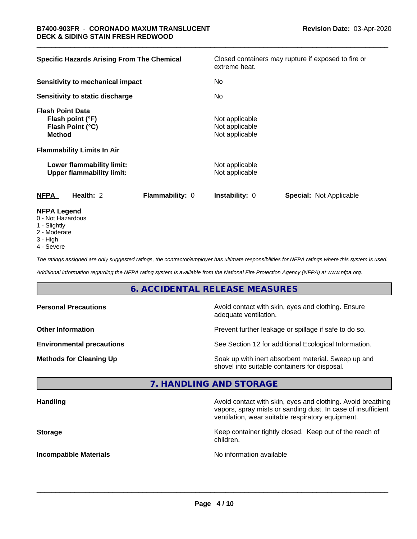| <b>Specific Hazards Arising From The Chemical</b>                                | Closed containers may rupture if exposed to fire or<br>extreme heat. |
|----------------------------------------------------------------------------------|----------------------------------------------------------------------|
| <b>Sensitivity to mechanical impact</b>                                          | No.                                                                  |
| Sensitivity to static discharge                                                  | No                                                                   |
| <b>Flash Point Data</b><br>Flash point (°F)<br>Flash Point (°C)<br><b>Method</b> | Not applicable<br>Not applicable<br>Not applicable                   |
| <b>Flammability Limits In Air</b>                                                |                                                                      |
| Lower flammability limit:<br><b>Upper flammability limit:</b>                    | Not applicable<br>Not applicable                                     |
| <b>NFPA</b><br>Health: 2<br>Flammability: 0                                      | <b>Special: Not Applicable</b><br><b>Instability: 0</b>              |
| <b>NFPA Legend</b><br>0 Not Hozordous                                            |                                                                      |

- 0 Not Hazardous
- 1 Slightly
- 2 Moderate
- 3 High
- 4 Severe

*The ratings assigned are only suggested ratings, the contractor/employer has ultimate responsibilities for NFPA ratings where this system is used.*

*Additional information regarding the NFPA rating system is available from the National Fire Protection Agency (NFPA) at www.nfpa.org.*

# **6. ACCIDENTAL RELEASE MEASURES**

| <b>Personal Precautions</b>      | Avoid contact with skin, eyes and clothing. Ensure<br>adequate ventilation.                          |
|----------------------------------|------------------------------------------------------------------------------------------------------|
| <b>Other Information</b>         | Prevent further leakage or spillage if safe to do so.                                                |
| <b>Environmental precautions</b> | See Section 12 for additional Ecological Information.                                                |
| <b>Methods for Cleaning Up</b>   | Soak up with inert absorbent material. Sweep up and<br>shovel into suitable containers for disposal. |

## **7. HANDLING AND STORAGE**

| <b>Handling</b>               | Avoid contact with skin, eyes and clothing. Avoid breathing<br>vapors, spray mists or sanding dust. In case of insufficient<br>ventilation, wear suitable respiratory equipment. |
|-------------------------------|----------------------------------------------------------------------------------------------------------------------------------------------------------------------------------|
| <b>Storage</b>                | Keep container tightly closed. Keep out of the reach of<br>children.                                                                                                             |
| <b>Incompatible Materials</b> | No information available                                                                                                                                                         |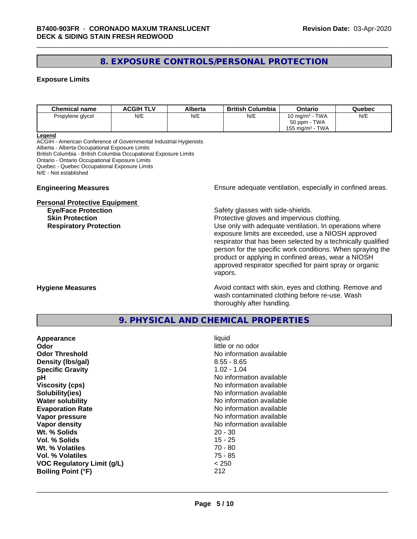# **8. EXPOSURE CONTROLS/PERSONAL PROTECTION**

#### **Exposure Limits**

| <b>Chemical name</b> | <b>ACGIH TLV</b> | Alberta | <b>British Columbia</b> | Ontario                        | Quebec |
|----------------------|------------------|---------|-------------------------|--------------------------------|--------|
| Propylene glycol     | N/E              | N/E     | N/E                     | 10 mg/m $3$ - TWA              | N/E    |
|                      |                  |         |                         | 50 ppm - TWA                   |        |
|                      |                  |         |                         | TWA<br>155 mg/m <sup>3</sup> - |        |

#### **Legend**

ACGIH - American Conference of Governmental Industrial Hygienists Alberta - Alberta Occupational Exposure Limits British Columbia - British Columbia Occupational Exposure Limits Ontario - Ontario Occupational Exposure Limits Quebec - Quebec Occupational Exposure Limits N/E - Not established

#### **Personal Protective Equipment**

**Engineering Measures Ensure** Ensure adequate ventilation, especially in confined areas.

**Eye/Face Protection Safety glasses with side-shields.** 

**Skin Protection Protection Protective gloves and impervious clothing. Respiratory Protection Exercise 2018** Use only with adequate ventilation. In operations where exposure limits are exceeded, use a NIOSH approved respirator that has been selected by a technically qualified person for the specific work conditions. When spraying the product or applying in confined areas, wear a NIOSH approved respirator specified for paint spray or organic vapors.

**Hygiene Measures Avoid contact with skin, eyes and clothing. Remove and Avoid contact with skin, eyes and clothing. Remove and Avoid contact with skin, eyes and clothing. Remove and** wash contaminated clothing before re-use. Wash thoroughly after handling.

### **9. PHYSICAL AND CHEMICAL PROPERTIES**

| Appearance                        | liquid                   |
|-----------------------------------|--------------------------|
| Odor                              | little or no odor        |
| <b>Odor Threshold</b>             | No information available |
| Density (Ibs/gal)                 | $8.55 - 8.65$            |
| <b>Specific Gravity</b>           | $1.02 - 1.04$            |
| рH                                | No information available |
| <b>Viscosity (cps)</b>            | No information available |
| Solubility(ies)                   | No information available |
| <b>Water solubility</b>           | No information available |
| <b>Evaporation Rate</b>           | No information available |
| Vapor pressure                    | No information available |
| Vapor density                     | No information available |
| Wt. % Solids                      | $20 - 30$                |
| Vol. % Solids                     | $15 - 25$                |
| Wt. % Volatiles                   | $70 - 80$                |
| Vol. % Volatiles                  | 75 - 85                  |
| <b>VOC Regulatory Limit (g/L)</b> | < 250                    |
| <b>Boiling Point (°F)</b>         | 212                      |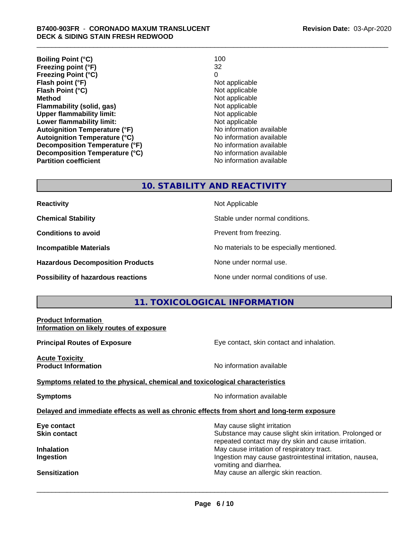| 100                      |
|--------------------------|
| 32                       |
| 0                        |
| Not applicable           |
| Not applicable           |
| Not applicable           |
| Not applicable           |
| Not applicable           |
| Not applicable           |
| No information available |
| No information available |
| No information available |
| No information available |
| No information available |
|                          |

#### **10. STABILITY AND REACTIVITY**

**Hazardous Decomposition Products** None under normal use.

**Reactivity Not Applicable** 

**Chemical Stability Chemical Stability** Stable under normal conditions.

**Conditions to avoid Conditions reading**.

**Incompatible Materials No materials** No materials to be especially mentioned.

**Possibility of hazardous reactions** None under normal conditions of use.

# **11. TOXICOLOGICAL INFORMATION**

| <b>Product Information</b><br>Information on likely routes of exposure                     |                                                                                                                                                |  |  |  |
|--------------------------------------------------------------------------------------------|------------------------------------------------------------------------------------------------------------------------------------------------|--|--|--|
| <b>Principal Routes of Exposure</b>                                                        | Eye contact, skin contact and inhalation.                                                                                                      |  |  |  |
| <b>Acute Toxicity</b><br><b>Product Information</b>                                        | No information available                                                                                                                       |  |  |  |
| Symptoms related to the physical, chemical and toxicological characteristics               |                                                                                                                                                |  |  |  |
| <b>Symptoms</b>                                                                            | No information available                                                                                                                       |  |  |  |
| Delayed and immediate effects as well as chronic effects from short and long-term exposure |                                                                                                                                                |  |  |  |
| Eye contact<br>Skin contact                                                                | May cause slight irritation<br>Substance may cause slight skin irritation. Prolonged or<br>repeated contact may dry skin and cause irritation. |  |  |  |
| Inhalation<br>Ingestion                                                                    | May cause irritation of respiratory tract.<br>Ingestion may cause gastrointestinal irritation, nausea,<br>vomiting and diarrhea.               |  |  |  |
| Sensitization                                                                              | May cause an allergic skin reaction.                                                                                                           |  |  |  |
|                                                                                            |                                                                                                                                                |  |  |  |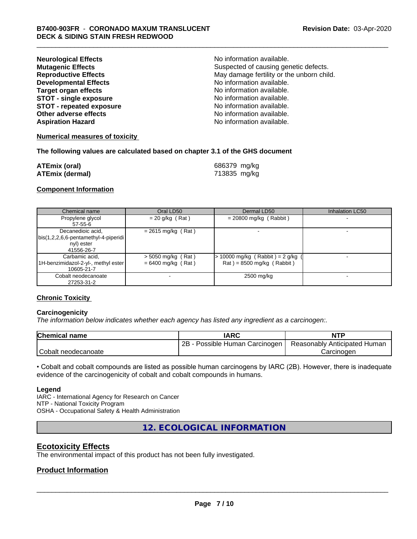| <b>Neurological Effects</b>     | No information available.                 |
|---------------------------------|-------------------------------------------|
| <b>Mutagenic Effects</b>        | Suspected of causing genetic defects.     |
| <b>Reproductive Effects</b>     | May damage fertility or the unborn child. |
| <b>Developmental Effects</b>    | No information available.                 |
| Target organ effects            | No information available.                 |
| <b>STOT - single exposure</b>   | No information available.                 |
| <b>STOT - repeated exposure</b> | No information available.                 |
| Other adverse effects           | No information available.                 |
| <b>Aspiration Hazard</b>        | No information available.                 |

#### **Numerical measures of toxicity**

#### **The following values are calculated based on chapter 3.1 of the GHS document**

| <b>ATEmix (oral)</b>   | 686379 mg/kg |
|------------------------|--------------|
| <b>ATEmix (dermal)</b> | 713835 mg/kg |

#### **Component Information**

| Chemical name                                                                             | Oral LD50                                    | Dermal LD50                                                      | <b>Inhalation LC50</b> |
|-------------------------------------------------------------------------------------------|----------------------------------------------|------------------------------------------------------------------|------------------------|
| Propylene glycol<br>$57 - 55 - 6$                                                         | $= 20$ g/kg (Rat)                            | $= 20800$ mg/kg (Rabbit)                                         |                        |
| Decanedioic acid,<br>  bis(1,2,2,6,6-pentamethyl-4-piperidi  <br>nyl) ester<br>41556-26-7 | $= 2615$ mg/kg (Rat)                         |                                                                  |                        |
| Carbamic acid,<br>1H-benzimidazol-2-yl-, methyl ester<br>10605-21-7                       | $>$ 5050 mg/kg (Rat)<br>$= 6400$ mg/kg (Rat) | $> 10000$ mg/kg (Rabbit) = 2 g/kg<br>$Rat$ = 8500 mg/kg (Rabbit) |                        |
| Cobalt neodecanoate<br>27253-31-2                                                         |                                              | 2500 mg/kg                                                       |                        |

#### **Chronic Toxicity**

#### **Carcinogenicity**

*The information below indicateswhether each agency has listed any ingredient as a carcinogen:.*

| <b>Chemical name</b> | <b>IARC</b>                     | <b>NTP</b>                   |
|----------------------|---------------------------------|------------------------------|
|                      | 2B<br>Possible Human Carcinogen | Reasonably Anticipated Human |
| Cobalt neodecanoate  |                                 | Carcinoden                   |

• Cobalt and cobalt compounds are listed as possible human carcinogens by IARC (2B). However, there is inadequate evidence of the carcinogenicity of cobalt and cobalt compounds in humans.

#### **Legend**

IARC - International Agency for Research on Cancer NTP - National Toxicity Program OSHA - Occupational Safety & Health Administration

**12. ECOLOGICAL INFORMATION**

# **Ecotoxicity Effects**

The environmental impact of this product has not been fully investigated.

#### **Product Information**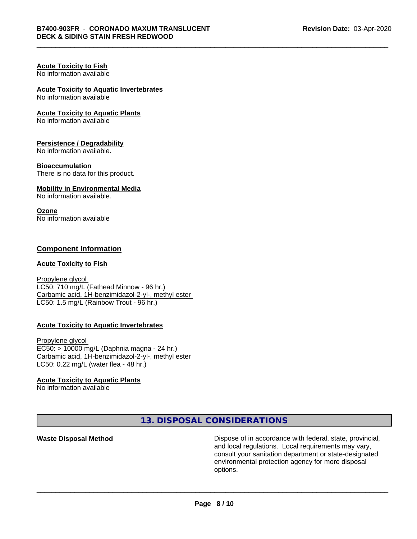#### **Acute Toxicity to Fish** No information available

# **Acute Toxicity to Aquatic Invertebrates**

No information available

#### **Acute Toxicity to Aquatic Plants**

No information available

#### **Persistence / Degradability**

No information available.

#### **Bioaccumulation**

There is no data for this product.

#### **Mobility in Environmental Media**

No information available.

#### **Ozone**

No information available

## **Component Information**

#### **Acute Toxicity to Fish**

Propylene glycol LC50: 710 mg/L (Fathead Minnow - 96 hr.) Carbamic acid, 1H-benzimidazol-2-yl-, methyl ester LC50: 1.5 mg/L (Rainbow Trout - 96 hr.)

#### **Acute Toxicity to Aquatic Invertebrates**

Propylene glycol EC50: > 10000 mg/L (Daphnia magna - 24 hr.) Carbamic acid, 1H-benzimidazol-2-yl-, methyl ester LC50: 0.22 mg/L (water flea - 48 hr.)

#### **Acute Toxicity to Aquatic Plants**

No information available

**13. DISPOSAL CONSIDERATIONS**

**Waste Disposal Method Dispose of in accordance with federal, state, provincial,** and local regulations. Local requirements may vary, consult your sanitation department or state-designated environmental protection agency for more disposal options.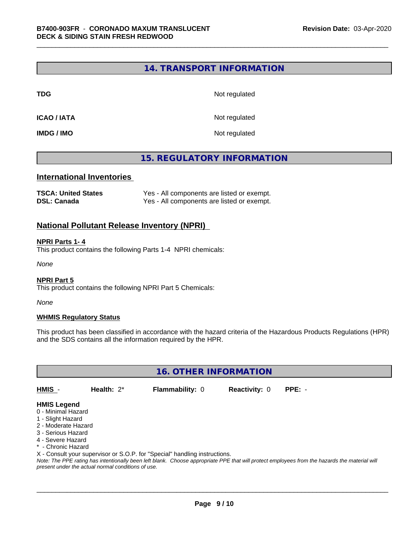# **14. TRANSPORT INFORMATION**

**TDG** Not regulated

**ICAO / IATA** Not regulated

**IMDG / IMO** Not regulated

# **15. REGULATORY INFORMATION**

#### **International Inventories**

| <b>TSCA: United States</b> | Yes - All components are listed or exempt. |
|----------------------------|--------------------------------------------|
| <b>DSL: Canada</b>         | Yes - All components are listed or exempt. |

#### **National Pollutant Release Inventory (NPRI)**

#### **NPRI Parts 1- 4**

This product contains the following Parts 1-4 NPRI chemicals:

*None*

#### **NPRI Part 5**

This product contains the following NPRI Part 5 Chemicals:

*None*

#### **WHMIS Regulatory Status**

This product has been classified in accordance with the hazard criteria of the Hazardous Products Regulations (HPR) and the SDS contains all the information required by the HPR.

**16. OTHER INFORMATION**

**HMIS** - **Health:** 2\* **Flammability:** 0 **Reactivity:** 0 **PPE:** -

# **HMIS Legend**

- 0 Minimal Hazard
- 1 Slight Hazard
- 2 Moderate Hazard
- 3 Serious Hazard
- 4 Severe Hazard
- \* Chronic Hazard
- X Consult your supervisor or S.O.P. for "Special" handling instructions.

*Note: The PPE rating has intentionally been left blank. Choose appropriate PPE that will protect employees from the hazards the material will present under the actual normal conditions of use.*